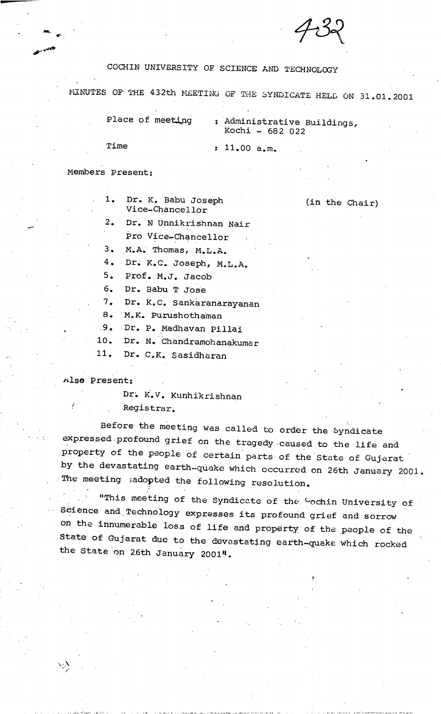

## COCHIN UNIVERSITY OF SCIENCE AND TECHNOLOGY

MINUTES OF- THE 43-2th MEETING OF THE SYNDICATE HELD ON 31.01,2001

Place of meeting : Administrative Buildings, Kochi - 682 022

 $\bullet$ 

Time : 11.00 a.m.

### Members Present:

● 1. Dr. K. Babu Joseph Vice-Chancellor

(in the Chair)

- Dr. N Unnikrishnan Nair 2.
	- Pro Vice-Chancellor
- M.A. Thomas, M.L.A. 3.

Dr. K.C. Joseph, M.L.A. 4.

5. Prof. M.J. Jacob

6. Dr. Babu T Jose

Dr. K.C. Sankaranarayanan 7.

8. M.K. Purushothaman

.9. Dr. p. Madhavan pillai

Dr. N. Chandramohanakumar 10.

Dr. C.K. Sasidharan 11.

### Also Present:

 $\boldsymbol{\lambda}$ 

Dr; K.V, Kunhikrishnan Registrar.

Before the meeting was called to order the byndicate expressed profound grief on the tragedy caused to the life and property of the people of certain parts of the State of Gujarat by the devastating earth-quake which occurred on 26th January 2001. Inc meeting , adopted the following resolution.

"This meeting of the Syndicate of the <sup>C</sup>ochin University of berence and Technology expresses its profound grief and sorrow on the innumerable los s of life and p roperty of the people of the state of Gujarat due to the devastating earth-quake which rocked the State on 26th January 2001".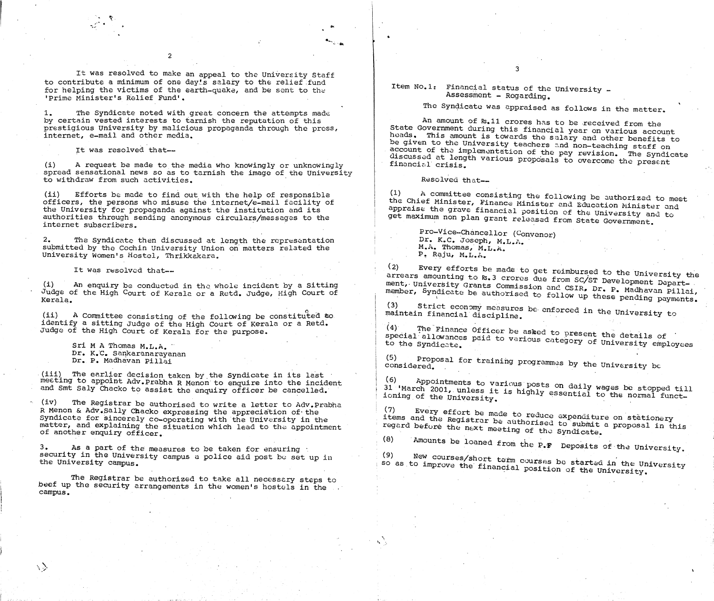It was resolved to make an appeal to the University Staff to contribute a minimum of one day!s salary to the relief fund for helping the victims of the earth-quake, and be sent to the 'Prime Minister's Relief Fund'.

2

3

amounts be loaned from the P.F Deposits of the University,

Item No.Is Financial status of the University — Assessment - Regarding.

.  $\sim$  - in

> An amount of Rs,ll crores has to be received from the State Government during this financial year on various account heads. This amount is towards the salary and other benefits to be given to the University teachers and non-teaching staff on account of the implementation of the pay revision, The Syndicat e discussed at length various proposals to overcome the present financial crisis.

 $(1)$ (1) A committee consisting the following be authorized to meet<br>the Chief Minister, Finance Minister and Education Minister and appraise the grave financial position of the University and to get maximum non plan grant released from State Government.

The Syndicate was appraised as follows in the matter.

The Syndicate noted with great concern the attempts made by certain vested interests to tarnish the reputation of this prestigious University by malicious propaganda through the press, internet, e-mail and other media. 1.

(i) A request be made to the media who knowingly or unknowingly spread sensational news so as to tarnish the image of the University to withdraw from such activities. The matrix of the control of the Resolved that-

2, The Syndicate then discussed at length the representation submitted by the Cochin University Union on matters related the University Women's Hostel, Thrikkakara.

It was resolved that--

It was resolved that—

 $(i)$  An enquiry be conducted in the whole incident by a Sitting Judge of the High Court of Kerala or a Retd, Judge, High Court of Kerala,

(ii) A Committee consisting of the following be constituted to maintain financial discipline. identify a sitting Judge of the High Court of Kerala or a Retd, Judge of the High Court of Kerala for the purpose.

(iii) The earlier decision taken by the Syndicate in its last meeting to appoint Adv.prabha R Menon to enquire into the incident and Smt Saly Chacko to assist the enquiry officer be cancelled.

(ii) Efforts be made to find out with the help of responsible officers, the persons who misuse the internet/e-mail facility of the University for propaganda against the institution and its authorities through sending anonymous circulars/messages to the internet subscribers.

The Registrar be authorised to write a letter to Adv. Prabha R Menon & Adv.Sally Chacko expressing the appreciation of the Syndicate for sincerely co-operating with the university in the matter, and explaining the situation which lead to the appointment of another enquiry officer. (iv)

As a part of the measures to be taken for ensuring  $\cdot$ security in the University campus a police aid post be set up in the University campus. 3,

Pro—Vice—Chancellor (Convenor) Dr. K.C. Joseph, M.L.A. M.A. Thomas, M.L.A. P. Raju, M.L.A,

uitedis amounting to R.3 crores due from SC/ST Development Depart-<br>ment, University Grants Commission and CSIR, Dr. P. Madhavan Billai (2) Every efforts be made to get reimbursed to the University the arrears amounting to Rs.3 crores due from SC/ST Development Departmember, Syndicate be authorised to follow up these pending payments.

(3) Strict economy measures<br>maintain financial discipline. Strict economy measures be enforced in the University to<br>n financial discipline.

(5) Proposal for training programmes by the University be<br>considered. considered.

(6) , to appointments to various posts on daily wages be stopped till<br>31 'March 2001, unless it is highly essential to the normal funct. Ji March 2001, unless it is highly essential to the normal funct-<br>ioning of the University.

 $(7)$ (7) Every effort be made to reduce expenditure on stationery<br>items and the Registrar be authorised to submit a proposal in this<br>regard before the next meeting of the Svndicate.

Sri M A Thomas M.L.A. ' Dr, K.C. Sankaranarayanan Dr. P. Madhavan Pillai

 $\langle \cdot \rangle$ 

The Registrar be authorized to take all necessary steps to beef up the security arrangements in the women's hostels in the campus.

(4) The Finance Officer be asked to present the details of special allowances to the Syndicate, paid to var category of University employees ious

(8)

New courses/short term courses be started in the University<br>O improve the financial position of the University position of the University. (9) so as to improve the financial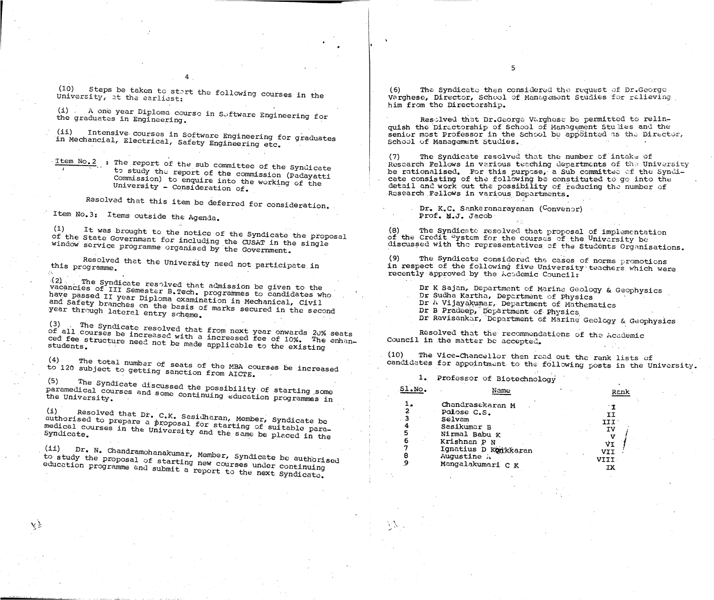(10) University, it the earliest:  $\frac{1}{\sqrt{L}}$  courses in the

Dr Ravisankar, Department of Marine Geology & Geophysics

4

 $\begin{pmatrix} 1 \end{pmatrix}$  .

(ii) Intensive courses in Software Engineering for graduates<br>in Mechancial, Electrical, Safety Engineering etc.

Item No.2 : The report of the sub committee of the Syndicate to study the report of the commission (Padayatti Commission) to enquire into the working of the University - Consideration of.

(6) The Syndicate then considered the request of Dr. George Varghese, Director, School of Management Studies for relieving him from the Directorship.

the graduates in Engineering. The Software Engineering for Res-olved that Dr.George- Verghese be permitted to relin quish the Directorship of School of Management Studies and the senior most Professor in the School be appointed as the Director, School of Management studies.

> The Syndicate resolved that the number of intake of Research Fellows in various teaching departments of the University be rationalised. For this purpose, a Sub committee of the Syndicate consisting of the following be constituted to go into the detail and work out the possibility of reducing the number of Research Fellows in various Departments. (7)

> > Dr. K.C. Sankaranarayanan (Convenor) Prof. M.J. Jacob

(1) It was brought to the notice of the Syndicate the proposal (8) The Syndicate resolved that proposal of implementation<br>Of the State Government for including the CUSAR in the single of the Credit "ystem for the courses of the University be of the Credit <sup>o</sup>ystem for the courses of the University be<br>discussed with the representatives of the Students Organisations.

> (9) The Syndicate considered the cases of norms promotions in respect of the following five University teachers which were recently approved by the Academic Councils

Dr K Sajan, Department of Marine Geology & Geophysics Dr Sudha Kartha, Department of Physics Dr h Vijayakumar, Department of Mathematics Dr B Pradeep, Department of Physics

Resolved that the recommondations of the Academic Council in the matter be accepted.

(10) The Vice-Chancellor then read out the rank lists of candidates for appointment to the following posts in the University.

Resolved that this item be deferred for consideration. .

Item No.3: Items outside the Agenda.

(3) (3) The Syndicate resolved that f<br>Of all courses be increased with a j ced fee structure need not be made annlicable to the enhanstudents. The cure need not be made applicable to the existing . The Syndicate resolved that from next year onwards 20% seats

(4) The total number of seats of the MBA courses be increased<br><sup>to 120</sup> subject to getting sanction from AIGPP to 120 subject to getting sanction from AICTE.

The Syndicate paramedical courses paramedical courses and some continuing education programmes in<br>the University. (5) and some continuing some and some

 $(i)$  Resolved that Dr. C.K. Sasidharan, Member, Syndicate be authorised to prepare a proposal for starting of suitable paramedical courses in the University and the same be placed in the Syndicate. We are only sity and the same be placed in the

to study the proposal of starting new courses under<br>education programme and submit a new courses under eoucGtion programme and submit Member, Syndicate be authorised report to the next Syndicate.

Professor of Biotechnology 1.

| $SLo$ No.                                          | Name                                                                                                                                                  |                       |
|----------------------------------------------------|-------------------------------------------------------------------------------------------------------------------------------------------------------|-----------------------|
| $\mathbf{c}$<br>. 3<br>4<br>$\mathbf{5}$<br>6<br>8 | Chandrasekaran M<br>Palose C.S.<br>Selvam<br>Sasikumar B<br>Nirmal Babu K<br>Krishnan P N<br>Ignatius D Konkkaran<br>Augustine h<br>Mangalakumari C K | ΙI<br>III<br>ΙV<br>IУ |

 $\mathcal{L}(\mathcal{N})$ 



V

window service programme organised by the CUSAT in the

Resolved that the University need not participate in (9) The Syndicate considered the the following five University need not participate in (9) The Syndicate considered the following five Un this programme.

 $\langle 2 \rangle$ vacancies of III Semester B.Tech. programmes to candidates who<br>have passed II year Diploma examination in Mechanical Civil and safety branches on the basis of marks secured in the sec<br>vear through let . year through lateral entry scheme.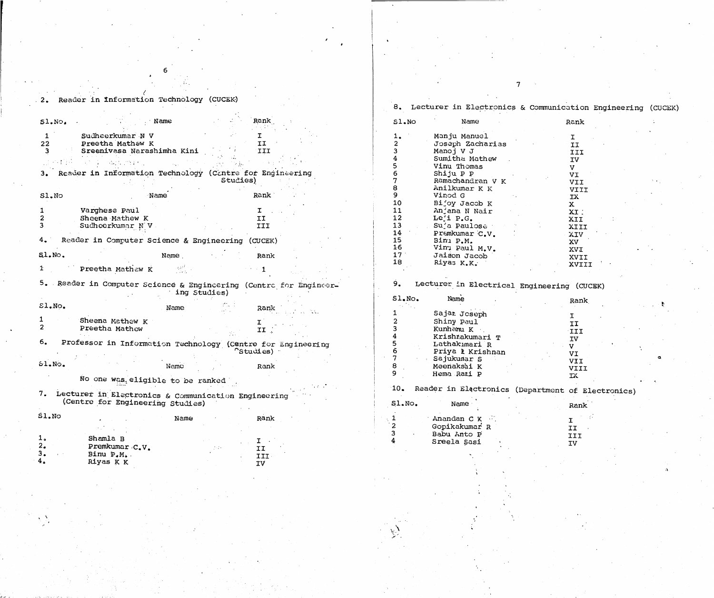/

## 9. Lecturer in Electrical Engineering (CUCEK)

6

7

 $\sim$   $\alpha$ 

|               | ರ.              | Lecturer in Electronics & Communication |              |
|---------------|-----------------|-----------------------------------------|--------------|
| <b>lank</b>   | S1.NO           | Name                                    | Rank         |
| $\mathbf I$   |                 | Manju Manuel                            | I.           |
| II            |                 | Joseph Zacharias                        | II           |
| III           |                 | Manoj V J                               | III          |
|               |                 | Sumitha Mathew                          | IV           |
|               |                 | Vinu Thomas                             | $\mathbf v$  |
| : Engineering | 6               | Shiju P P                               | VI           |
|               |                 | Ramachandran V K                        | <b>IIV</b>   |
|               | 8               | Anilkumar K K                           | VIII         |
| {ank≐         | 9               | Vinod G                                 | IX           |
|               | 10              | Bijoy Jacob K                           | $\mathbf{x}$ |
| I             | 11              | Anjana N Nair                           | XT:          |
| II            | 12              | Leji P.G.                               | XII          |
| III           | 13              | Suja Paulose                            | XIII         |
|               | 14              | Premkumar C.V.                          | XIV          |
| UCEK)         | 15              | Binu P.M.                               | XV           |
|               | 16 <sub>1</sub> | Vinu Paul M.V.                          | <b>XVI</b>   |
| Rank          | 17 <sup>°</sup> | Jaison Jacob                            | XVII         |
|               | 18              | Riyas K.K.                              | XVII         |
|               |                 |                                         |              |

tment of Electronics)

I<br>II<br>III<br>IV<br>IV  $\mathcal{C} \subset \mathcal{C}$ 

I XVIII ■

|              | 2. Reader in Information Technology (CUCEK)                       |                  |                   |                 | 8. Lecturer in Electronics & Communication |                         |
|--------------|-------------------------------------------------------------------|------------------|-------------------|-----------------|--------------------------------------------|-------------------------|
|              |                                                                   |                  |                   |                 |                                            |                         |
| SL, N        | Name                                                              |                  | Rank              | S1.NO           | Name                                       | Rank                    |
|              | Sudheerkumar N V                                                  |                  |                   |                 | Manju Manuel                               |                         |
| 22           | Preetha Mathew K                                                  |                  | II                | $\mathbf{2}$    | Joseph Zacharias                           | I.                      |
|              | Sreenivasa Narashimha Kini                                        |                  | III               |                 | Manoj V J                                  | II                      |
|              |                                                                   |                  |                   |                 | Sumitha Mathew                             | III<br>IV               |
|              | (一) 医疗程序的医疗                                                       |                  |                   |                 | Vinu Thomas                                | $\mathbf{V}$            |
|              | 3. Reader in Information Technology (Cantre for Engineering       |                  |                   |                 | Shiju P P                                  |                         |
|              |                                                                   | <b>Studies</b> ) |                   |                 | Ramachandran V K                           | <b>IV</b><br><b>IIV</b> |
|              |                                                                   |                  |                   |                 | Anilkumar K K                              |                         |
| Sl.No        | Name                                                              |                  | Rank              | 9               | Vinod G                                    | VIII<br><b>IX</b>       |
|              |                                                                   |                  |                   | 10              | Bijoy Jacob K                              | $\mathbf{x}$            |
|              | Varghese Paul                                                     |                  | I.                | 11              | Anjana N Nair                              |                         |
|              | Sheena Mathew K                                                   |                  | II.               | 12              | Le'i P.G.                                  | XI:                     |
|              | Sucheerkumar N'V                                                  |                  | III               | 13              | Suja Paulose                               | XII                     |
|              |                                                                   |                  |                   | 14              | Premkumar C.V.                             | XIII                    |
| 4.1          | Reader in Computer Science & Engineering (CUCEK)                  |                  |                   | 15              | Binu P.M.                                  | <b>XIV</b>              |
|              |                                                                   |                  |                   | 16              | Vinu Paul M.V.                             | XV                      |
| $SLMO$ .     | Name                                                              |                  | Rank              | 17 <sup>°</sup> | Jaison Jacob                               | <b>XVI</b>              |
|              |                                                                   |                  |                   | 18              | Riyas K.K.                                 | XVII                    |
|              | Preetha Mathew K                                                  |                  |                   |                 |                                            | XVII                    |
|              |                                                                   |                  |                   |                 |                                            |                         |
|              | 5. Reader in Computer Science & Engineering (Centre for Engineer- | ing Studies)     |                   | 9.              | Lecturer in Electrical Engineering (CU     |                         |
|              |                                                                   |                  |                   | $SL•$ No.       | Name                                       | Rank                    |
| $E1.NO$ .    | Name                                                              |                  | Rank              |                 |                                            |                         |
|              |                                                                   |                  |                   |                 | Sajar Joseph                               |                         |
|              | Sheena Mathew K                                                   |                  |                   |                 | Shiny Paul                                 | II                      |
| $\mathbf{2}$ | Preetha Mathew                                                    |                  | II                |                 | Kunhamu K                                  | III                     |
|              |                                                                   |                  |                   |                 | KrishMakumari T                            | IV                      |
| 6.           | Professor in Information Technology (Centre for Engineering       |                  |                   |                 | Lathakımari R                              | $\mathbf{V}$            |
|              |                                                                   |                  | <b>Catudies</b> ) |                 | Priya & Krishnan                           |                         |
|              |                                                                   |                  |                   |                 | Sajukumar S                                | VI                      |
| $51.$ No.    | Name                                                              |                  | Rank              | 8               | Meenakshi K                                | IIV<br>VIII             |
|              |                                                                   |                  |                   | Q               | Hema Rani P                                | TX                      |
|              | No one was eligible to be ranked                                  |                  |                   |                 |                                            |                         |
|              |                                                                   |                  |                   | 10 <sub>o</sub> | Reader in Electronics (Department of E     |                         |
|              | 7. Lecturer in Electronics & Communication Engineering            |                  |                   |                 |                                            |                         |
|              | (Centre for Engineering Studies)                                  |                  |                   | $S1.$ No.       | Name                                       |                         |
|              |                                                                   |                  |                   |                 |                                            | Rank                    |
| $SLo$ No     |                                                                   | Name             | Rank              |                 | Anandan C K                                |                         |
|              |                                                                   |                  |                   |                 |                                            | $\mathbf{I}$            |

| $SL•$ No.                                              | Name                                                                                                                                         | Rank                                                   |
|--------------------------------------------------------|----------------------------------------------------------------------------------------------------------------------------------------------|--------------------------------------------------------|
| 1<br>2<br>$\overline{3}$<br>4<br>5<br>6<br>7<br>8<br>9 | Sajar Joseph<br>Shiny Paul<br>Kunhamu K<br>KrishMakumari T<br>Lathakımari R<br>Priya 1 Krishnan<br>Sajukumar S<br>Meenakshi K<br>Hema Rani P | I.<br>II<br>III<br>IV<br>V<br>VI<br>IIV<br>VIII<br>IΧ. |
| 10.                                                    | Reader in Electronics (Department of El                                                                                                      |                                                        |
| $SLn$ o.                                               | Name                                                                                                                                         | Rank                                                   |
| $\overline{c}$<br>3<br>4                               | Anandan C K<br>Gopikakumar R<br>Babu Anto P<br>Sreela Sasi                                                                                   | I<br>II<br>III<br>IV                                   |

 $\sum_{i=1}^n$ 

Communication Engineering (CUCEK)

a

|            |                                                            |                           | Gopikakumar R              | ---<br><b>ᅩ</b> |
|------------|------------------------------------------------------------|---------------------------|----------------------------|-----------------|
| ەلد<br>6 è | Shamla B<br>Premkumar C.V.                                 |                           | Babu Anto P<br>Sreela Sasi | III<br>IV       |
| ه ت<br>ч.  | $\overline{B}$ inu $P_{\bullet}M_{\bullet}$ .<br>Riyas K K | ᆂᆂ<br>III<br>---<br>$  -$ |                            |                 |

 $\ddot{\phantom{0}}$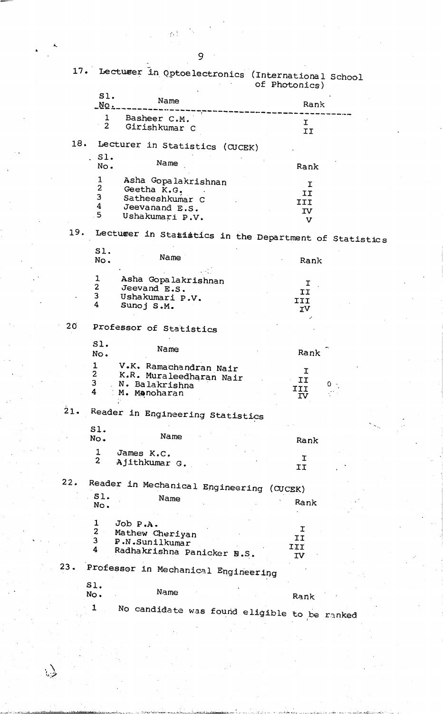$\epsilon_{\rm{eff}}$ 

 $\ddot{\phantom{0}}$ 

 $\sum_{i=1}^n$ 

|                 |                         | 17. Lectuser in Optoelectronics (International School  | of Photonics)        |       |
|-----------------|-------------------------|--------------------------------------------------------|----------------------|-------|
|                 | Sl.<br>$NQ$ .           | Name                                                   | Rank                 |       |
|                 | 1                       | Basheer C.M.                                           |                      |       |
|                 | $\overline{2}$          | Girishkumar C                                          | $\mathbf{I}$<br>II   |       |
|                 |                         | 18. Lecturer in Statistics (CUCEK)                     |                      |       |
|                 | .S.<br>No.              | Name                                                   | Rank                 |       |
|                 | 1                       | Asha Gopalakrishnan                                    | I                    |       |
|                 | $\overline{2}$          | Geetha K.G.                                            | II                   |       |
|                 | 3                       | Satheeshkumar C                                        | III                  |       |
|                 | 4                       | Jeevanand E.S.                                         | IV                   |       |
|                 | 5                       | Ushakumari P.V.                                        | $\mathbf v$          |       |
| 19.             |                         | Lecturer in Statistics in the Department of Statistics |                      |       |
|                 | SI.                     |                                                        |                      |       |
|                 | No.                     | Name                                                   | Rank                 |       |
|                 |                         |                                                        |                      |       |
|                 | $\mathbf{1}$            | Asha Gopalakrishnan                                    | I.                   |       |
|                 | $\mathbf{2}$            | Jeevand E.S.                                           | II                   |       |
|                 | $\overline{3}$          | Ushakumari P.V.                                        | III                  |       |
|                 | 4                       | Sunoj S.M.                                             | IV                   |       |
| 20 <sub>o</sub> |                         | Professor of Statistics                                |                      |       |
|                 | Sl.                     |                                                        |                      |       |
|                 | No.                     | Name                                                   | Rank                 |       |
|                 | $\mathbf{1}$            | V.K. Ramachandran Nair                                 |                      |       |
|                 | $\overline{2}$          | K.R. Muraleedharan Nair                                | I                    |       |
|                 | $\overline{\mathbf{3}}$ | N. Balakrishna                                         | II                   | $0 -$ |
|                 | 4                       | : M. Manoharan                                         | III<br>$\mathbf{IV}$ |       |
| 21.             |                         | Reader in Engineering Statistics                       |                      |       |
|                 | SI.                     |                                                        |                      |       |
|                 | No.                     | Name                                                   | Rank                 |       |
|                 | $\ddagger$              | James K.C.                                             | Ι                    |       |
|                 | $\overline{c}$          | Ajithkumar G.                                          | II                   |       |
| 22.             |                         | Reader in Mechanical Engineering (CUCEK)               |                      |       |
|                 | 51.                     | Name                                                   |                      |       |
|                 | No.                     |                                                        | Rank                 |       |
|                 | $\mathbf{1}$            | Job P.A.                                               |                      |       |
|                 | $\overline{2}$          | Mathew Cheriyan                                        | I                    |       |
|                 | 3                       | P.N.Sunilkumar                                         | II                   |       |
|                 | 4                       | Radhakrishna Panicker N.S.                             | III<br>ΙV            |       |
| 23.             |                         | Professor in Mechanical Engineering                    |                      |       |
|                 | 51.                     |                                                        |                      |       |
|                 | No.                     | Name                                                   | Rank                 |       |
|                 | 1                       |                                                        |                      |       |
|                 |                         | No candidate was found eligible to be ranked           |                      |       |
|                 |                         |                                                        |                      |       |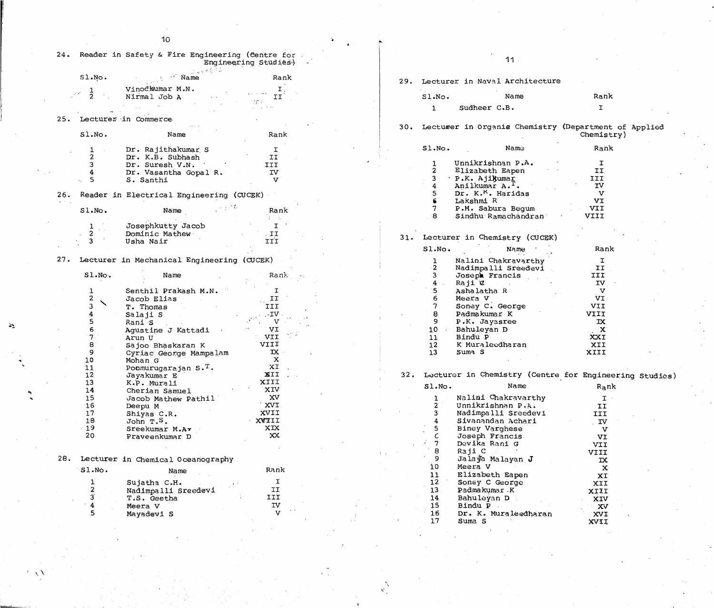$\sim$   $\sim$ 

 $\sqrt{ }$ 

 $\Sigma$ 



|     |                                | 24. Reader in Safety & Fire Engineering (Centre for. | Engineering Studies)                          |  |          | $11 -$                                                   |                   |  |
|-----|--------------------------------|------------------------------------------------------|-----------------------------------------------|--|----------|----------------------------------------------------------|-------------------|--|
|     | $SLNO$ .                       | <i>N</i> ame                                         | Rank                                          |  |          | 29. Lecturer in Naval Architecture                       |                   |  |
|     |                                | Vinodkumar M.N.<br>Nirmal Job A                      | II<br>1€ P                                    |  | S1.NO.   | Name                                                     | Rank              |  |
|     |                                |                                                      |                                               |  |          | Sudheer C.B.                                             | $\mathbf T$       |  |
| 25. |                                | Lecturer in Commerce                                 |                                               |  |          |                                                          |                   |  |
|     | SLNo.                          | Name                                                 | Rank                                          |  |          | 30. Lectuser in Organis Chemistry (Department of Applied | Chemistry)        |  |
|     |                                | Dr. Rajithakumar S<br>Dr. K.B. Subhash               | II                                            |  | S1.NO.   | Name                                                     | Rank              |  |
|     |                                | Dr. Suresh V.N.                                      | III                                           |  |          | Unnikrishnan P.A.                                        |                   |  |
|     |                                | Dr. Vasantha Gopal R.                                | IV                                            |  |          | Elizabeth Eapen                                          | II                |  |
|     | -5                             | S. Santhi                                            | v                                             |  |          | P.K. Ajikumar<br>Anilkumar A. <sup>1</sup> .             | III<br>IV         |  |
| 26. |                                |                                                      |                                               |  |          | Dr. K. <sup>K</sup> . Haridas                            | $\mathbf v$       |  |
|     |                                | Reader in Electrical Engineering (CUCEK)             |                                               |  |          | Lakshmi R                                                | VI                |  |
|     | S1.NO.                         | Name                                                 | Rank                                          |  |          | P.M. Sabura Begum                                        | VII               |  |
|     |                                |                                                      |                                               |  |          | Sindhu Ramachandran                                      | VIII              |  |
|     |                                | Josephkutty Jacob                                    |                                               |  |          |                                                          |                   |  |
|     |                                | Dominic Mathew                                       |                                               |  |          |                                                          |                   |  |
|     |                                | Usha Nair                                            | II.<br>III                                    |  |          | 31. Lecturer in Chemistry (CUCEK)                        |                   |  |
|     |                                |                                                      |                                               |  | S1.NO.   | Name                                                     | Rank              |  |
| 27. |                                | Lecturer in Mechanical Engineering (CUCEK)           |                                               |  |          | Nalini Chakravarthy                                      | I                 |  |
|     |                                |                                                      |                                               |  |          | Nadimpalli Sreedevi                                      | II                |  |
|     | S1.NO.                         | Name                                                 | Rank –                                        |  |          | Joseph Francis                                           | III               |  |
|     |                                |                                                      |                                               |  |          | Raji C                                                   | <b>IV</b>         |  |
|     | $\mathbf{2}$                   | Senthil Prakash M.N.                                 |                                               |  |          | Ashalatha R                                              | $\mathbf v$<br>VI |  |
|     |                                | Jacob Elias                                          | $\mathbf{I}$                                  |  |          | Meera V<br>Soney C. George                               | <b>VII</b>        |  |
|     |                                | T. Thomas                                            | III<br>$\mathbf{V}$ .                         |  |          | Padmakumar K                                             | VIII              |  |
|     | כ                              | Salaji S<br>Rani S                                   | V                                             |  | 9        | P.K. Jayasree                                            | IX                |  |
|     |                                | Agustine J Kattadi                                   | VI                                            |  | 10       | Bahuleyan D                                              | $\mathbf{x}$      |  |
|     |                                | Arun U                                               | $\mathcal{O}(\mathcal{O}_\mathcal{O})$<br>VII |  | 11       | Bindu P                                                  | XXI               |  |
|     |                                | Sajoo Bhaskaran K                                    | VIII                                          |  | 12       | K Muraleedharan                                          | XII               |  |
|     |                                | Cyriac George Mampalam                               | $TX +$                                        |  | 13       | Suma <sub>S</sub>                                        | XIII              |  |
|     | 10                             | Mohan G                                              | $\mathbf x$                                   |  |          |                                                          |                   |  |
|     | 11                             | Poomurugarajan $S \cdot T$ .                         | XI                                            |  |          |                                                          |                   |  |
|     | 12                             | Jayakumar E                                          | XII                                           |  |          | 32. Lecturer in Chemistry (Centre for Engineering Studi  |                   |  |
|     | 13                             | K.P. Murali                                          | XIII                                          |  | $SLMO$ . | Name                                                     | $R_{\rm a}$ nk    |  |
|     | 14                             | Cherian Samuel                                       | XIV<br>XV                                     |  |          |                                                          |                   |  |
|     | 15<br>16                       | Jacob Mathew Pathil                                  | XVI                                           |  |          | Nalini Chakravarthy<br>Unnikrishnan P.A.                 | $\mathbf I$<br>II |  |
|     | 17                             | Deepu M<br>Shiyas C.R.                               | XVII                                          |  |          | Nadimpalli Sreedevi                                      | III               |  |
|     | 18                             | JohnT.S.                                             | XVIII                                         |  |          | Sivanandan Achari                                        | $\mathbf{TV}$     |  |
|     | $-19$                          | Sreekumar M.Ar                                       | XIX                                           |  | 5        | Biney Varghese                                           | $\mathbf v$       |  |
|     | 20                             | Praveenkumar D                                       | XX                                            |  |          | Joseph Francis.                                          | VI                |  |
|     |                                |                                                      |                                               |  | 7        | Devika Rani G                                            | VII               |  |
|     |                                |                                                      |                                               |  | 8        | Raji C                                                   | <b>VIII</b>       |  |
| 28. |                                | Lecturer in Chemical Oceanography                    |                                               |  | 9        | Jalaya Malayan J                                         | $\mathbf{X}$      |  |
|     | SLNo.                          | Name                                                 | Rank                                          |  | 10       | Meera V                                                  | $\mathbf x$       |  |
|     |                                |                                                      |                                               |  | 11       | Elizabeth Eapen                                          | XI                |  |
|     |                                | Sujatha C.H.                                         | I                                             |  | 12       | Soney C George                                           | XII               |  |
|     | $\mathbf{2}$<br>$\overline{3}$ | Nadimpalli Sreedevi                                  | II                                            |  | 13       | Padmakumar K                                             | XIII              |  |
|     |                                | T.S. Geetha                                          | III<br>IV                                     |  | 14<br>15 | Bahuleyan D                                              | XIV               |  |
|     | 5                              | Meera V                                              | $\mathbf{V}$                                  |  | 16       | Bindu P<br>Dr. K. Muraleedharan                          | XV                |  |
|     |                                | Mayadevi S                                           |                                               |  | 17       | Suma <sub>S</sub>                                        | XVI<br>XVII       |  |

 $\mathbf{v}^{\prime}$ 

 $\overline{\phantom{a}}$ 



| for Engineering Studies) |  |
|--------------------------|--|
| $R_{\rm a}$ nk           |  |
| Ι                        |  |
| II                       |  |
| III                      |  |
| $\Gamma$ IV              |  |
| $\mathbf v$              |  |
| VI                       |  |
| VII                      |  |
| VIII                     |  |
| IX                       |  |
| X                        |  |
| ХI                       |  |
| XII                      |  |
| XIII                     |  |
| XIV                      |  |
| XV                       |  |
| XVI                      |  |
| ソフォナ                     |  |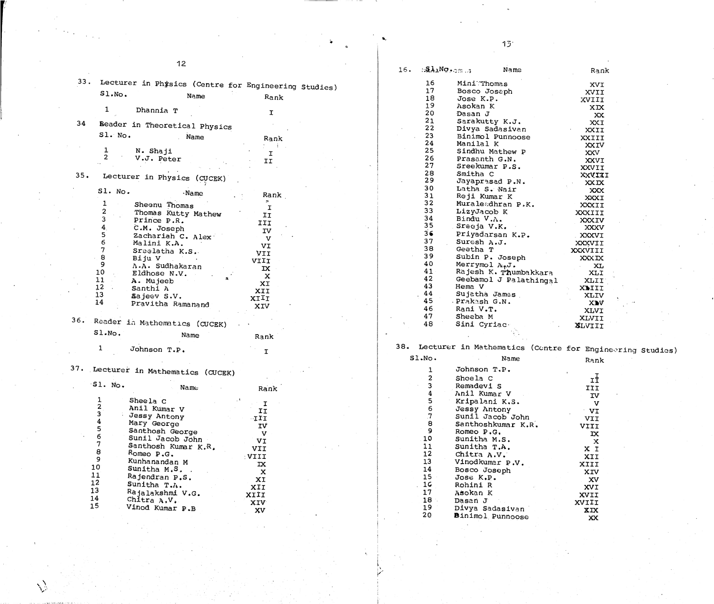V

for Engineering Studies)<br>Rank

|     |                                                          | 12                  |              |  | $\mathbb{Z}$ in $\mathbb{Z}$<br>16. |                 | Name                                          | Rank                 |
|-----|----------------------------------------------------------|---------------------|--------------|--|-------------------------------------|-----------------|-----------------------------------------------|----------------------|
|     | 33. Lecturer in Physics (Centre for Engineering Studies) |                     |              |  | 16                                  | MiniThomas      |                                               | XVI                  |
|     | S1.NO.                                                   |                     |              |  | 17                                  | Bosco Joseph    |                                               | XVII                 |
|     |                                                          | Name                | Rank         |  | 18                                  | Jose K.P.       |                                               | XVIII                |
|     | 1<br>Dhannia T                                           |                     |              |  | 19                                  | Asokan K        |                                               | XIX                  |
|     |                                                          |                     | $\mathbf{I}$ |  | 20                                  | Dasan J         |                                               | XX                   |
| 34  |                                                          |                     |              |  | 21                                  | Sarakutty K.J.  |                                               | XXI                  |
|     | Beader in Theoretical Physics                            |                     |              |  | 22                                  |                 | Divya Sadasivan                               | XXII                 |
|     | S1. No.                                                  | Name                | Rank         |  | 23                                  |                 | Binimol Punnoose                              | XXIII                |
|     |                                                          |                     |              |  | 24                                  | Manilal K       |                                               | <b>XXIV</b>          |
|     | N. Shaji                                                 |                     | I            |  | 25                                  |                 | Sindhu Mathew P                               | <b>XXV</b>           |
|     | V.J. Peter                                               |                     | II           |  | 26                                  | Prasanth G.N.   |                                               | XXVI                 |
|     |                                                          |                     |              |  | 27                                  | Sreekumar P.S.  |                                               | XXVII                |
| 35. | Lecturer in Physics (CUCEK)                              |                     |              |  | 28<br>29                            | Smitha C        |                                               | XXVIII               |
|     |                                                          |                     |              |  | 30                                  |                 | Jayaprasad P.N.                               | <b>XXIX</b>          |
|     | Sl. No.                                                  | · Name              | Rank         |  | 31                                  | Latha S. Nair   |                                               | <b>XXX</b>           |
|     |                                                          |                     |              |  | 32                                  | Reji Kumar K    |                                               | XXXI                 |
|     | Sheenu Thomas                                            |                     | I            |  | 33                                  | LizyJacob K     | Muraleedhran P.K.                             | XXXII                |
|     |                                                          | Thomas Kutty Mathew | II           |  | 34                                  | Bindu V.A.      |                                               | XXXIII               |
|     | Prince P.R.                                              |                     | III          |  | 35                                  | Sreeja V.K.     |                                               | <b>XXXIV</b>         |
|     | C.M. Joseph                                              |                     | IV           |  | 36                                  |                 | Priyadarsan K.P.                              | XXXV                 |
|     |                                                          | Zachariah C. Alex   | $\mathbf v$  |  | 37                                  | Suresh A.J.     |                                               | XXXVI                |
|     | Malini K.A.                                              |                     | VI           |  | 38                                  | Geetha T        |                                               | XXXVII               |
|     | Sreelatha K.S.                                           |                     | VII          |  | 39                                  |                 | Subin P. Joseph                               | XXXVIII              |
|     | 8<br>Biju V<br>9                                         |                     | VIII         |  | 40                                  | Merrymol A.p.J. |                                               | <b>XXXIX</b>         |
|     | A.A. Sudhakaran<br>10                                    |                     | IX           |  | 41                                  |                 | Rajesh K. Thumbakkara                         | XL                   |
|     | Eldhose N.V.<br>11                                       |                     | $\mathbf x$  |  | 42                                  |                 | Geebamol J Palathingal                        | XLI                  |
|     | A. Mujecb<br>12                                          |                     | XI           |  | 43                                  | Hema V          |                                               | XLII <sup>T</sup>    |
|     | Santhi A<br>13                                           |                     | XII          |  | 44                                  | Sujatha James   |                                               | XIIII<br><b>XLIV</b> |
|     | Sajeev S.V.<br>14                                        |                     | XIII         |  | 45                                  | Prakash G.N.    |                                               | XIV                  |
|     |                                                          | Pravitha Ramanand   | XIV          |  | 46                                  | Rani V.T.       |                                               | XLVI                 |
|     |                                                          |                     |              |  | 47                                  | Sheeba M        |                                               | XLVII                |
| 36. | Reader in Mathematics (CUCEK)                            |                     |              |  | 48                                  | Sini Cyriac.    |                                               | <b>X</b> LVIII       |
|     | SLNO.                                                    |                     |              |  |                                     |                 |                                               |                      |
|     |                                                          | Name                | Rank         |  |                                     |                 |                                               |                      |
|     | Johnson T.P.                                             |                     |              |  |                                     |                 | 38. Lecturer in Mathematics (Centre for Engin |                      |
|     |                                                          |                     |              |  | SLNO.                               |                 | Name                                          | Rank                 |
| 37. | Lecturer in Mathematics (CUCEK)                          |                     |              |  |                                     | Johnson T.P.    |                                               |                      |
|     |                                                          |                     |              |  |                                     | Sheela C        |                                               | $I_{\pm}$            |
|     | S1. No.                                                  | Name                | Rank         |  |                                     | Remadevi S      |                                               | III                  |
|     |                                                          |                     |              |  |                                     | Anil Kumar V    |                                               | IV                   |
|     | 1<br>Sheela C                                            |                     | $\mathbf{I}$ |  |                                     | Kripalani K.S.  |                                               | $\mathbf{V}$         |
|     | $\overline{\mathbf{c}}$<br>Anil Kumar V                  |                     | II           |  |                                     | Jessy Antony    |                                               | TV                   |
|     | $\overline{\mathbf{3}}$<br>Jessy Antony                  |                     | TII          |  |                                     |                 | Sunil Jacob John                              | <b>VII</b>           |
|     | 4<br>Mary George                                         |                     | IV           |  |                                     |                 | Santhoshkumar K.R.                            | VIII                 |
|     | 5<br>Santhosh George                                     |                     | $\mathbf{V}$ |  | 9                                   | Romeo P.G.      |                                               | $\mathbf x$          |
|     | 6                                                        | Sunil Jacob John    | VI           |  | 10                                  | Sunitha M.S.    |                                               | $\mathbf{X}$         |
|     | 7                                                        | Santhosh Kumar K.R. | <b>VII</b>   |  | 11                                  | Sunitha T.A.    |                                               | X I                  |
|     | $\bf 8$<br>Romeo P.G.                                    |                     | VIII         |  | 12                                  | Chitra A.V.     |                                               | XII                  |
|     | 9<br>Kunhanandan M                                       |                     | $\mathbf{X}$ |  | 13                                  | Vinodkumar P.V. |                                               | XIII                 |
|     | 10<br>Sunitha M.S. .                                     |                     | $\mathbf{x}$ |  | 14                                  | Bosco Joseph    |                                               | XIV                  |
|     | 11<br>Rajendran P.S.                                     |                     | XI           |  | 15                                  | Jose K.P.       |                                               | XV                   |
|     | 12<br>Sunitha T.A.                                       |                     | XII          |  | 1 <sub>C</sub>                      | Rohini R        |                                               | XVI                  |
|     | 13<br>Rajalakshmi V.G.                                   |                     |              |  | 17                                  | Asokan K        |                                               |                      |
|     | 14<br>Chitra $A, V$ .                                    |                     | XIII         |  | 18                                  | Dasan J         |                                               | XVII                 |
|     | 15<br>Vinod Kumar P.B                                    |                     | XIV          |  | 19                                  | Divya Sadasivan |                                               | XVIII                |
|     |                                                          |                     | <b>XV</b>    |  | າດ                                  |                 |                                               | XIX                  |

 $\sum$ 

 $\langle\cdot\rangle_{\rm{max}}$ 

 $\mathbf i$ k'

 $\bar{\lambda}$ 

 $\dot{ }$   $\dot{ }$   $\dot{ }$   $\dot{ }$   $\dot{ }$   $\dot{ }$   $\dot{ }$   $\dot{ }$   $\dot{ }$   $\dot{ }$   $\dot{ }$   $\dot{ }$   $\dot{ }$   $\dot{ }$   $\dot{ }$   $\dot{ }$   $\dot{ }$   $\dot{ }$   $\dot{ }$   $\dot{ }$   $\dot{ }$   $\dot{ }$   $\dot{ }$   $\dot{ }$   $\dot{ }$   $\dot{ }$   $\dot{ }$   $\dot{ }$   $\dot{ }$   $\dot{ }$   $\dot{ }$   $\dot{$ 

 $\blacksquare$ 

|                 | UUIIIOUII I.F.      |            |
|-----------------|---------------------|------------|
|                 | Shcela C            | rĪ         |
| 3               | Remadevi S          | III        |
| 4               | Anil Kumar V        | <b>IV</b>  |
| 5               | Kripalani K.S.      | v          |
| 6               | <b>Jessy Antony</b> | VI         |
| $\overline{7}$  | Sunil Jacob John    | <b>IIV</b> |
| 8               | Santhoshkumar K.R.  | VIII       |
| 9               | Romeo P.G.          | IX         |
| 10              | Sunitha M.S.        | X          |
| 11              | Sunitha T.A.        | X I        |
| 12              | Chitra A.V.         | XII        |
| 13              | Vinodkumar P.V.     |            |
| 14              | Bosco Joseph        | XIII       |
| 15              |                     | XIV        |
|                 | Jose K.P.           | XV         |
| 16              | Rohini R            | <b>XVI</b> |
| 17              | Asokan K            | XVII       |
| 18 <sup>1</sup> | Dasan J             | XVIII      |
| 19              | Divya Sadasivan     |            |
| 20              | Binimol Punnoose    | XIX        |
|                 |                     | XX         |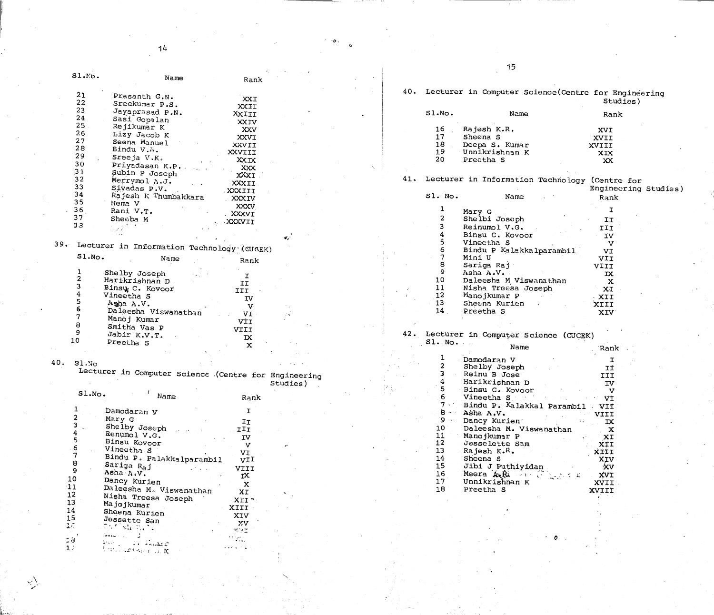o

 $\mathcal{L}(\mathfrak{d})$ 

# Studies)

$$
\begin{array}{c} \text{XVI} \\ \text{XVIII} \\ \text{XVIII} \\ \text{XIX} \\ \text{XX} \\ \text{XX} \end{array}
$$

re for<br>ecring Studies)<br>k



|     |               |                                                                                                                                                        |                   |                                                 |  |     |         | 15                                                                                                                   |                  |
|-----|---------------|--------------------------------------------------------------------------------------------------------------------------------------------------------|-------------------|-------------------------------------------------|--|-----|---------|----------------------------------------------------------------------------------------------------------------------|------------------|
|     | SL.N.         | Name                                                                                                                                                   |                   |                                                 |  |     |         |                                                                                                                      |                  |
|     |               |                                                                                                                                                        | Rank              |                                                 |  |     |         |                                                                                                                      |                  |
|     | 21            |                                                                                                                                                        |                   |                                                 |  |     |         | 40. Lecturer in Computer Science (Centre for Engineering                                                             |                  |
|     | 22            | Prasanth G.N.                                                                                                                                          | XXI               |                                                 |  |     |         |                                                                                                                      | Studies)         |
|     |               | Sreekumar P.S.                                                                                                                                         | XXII              |                                                 |  |     |         |                                                                                                                      |                  |
|     | 23            | Jayaprasad P.N.                                                                                                                                        | XXIII             |                                                 |  |     | Sl.No.  | Name                                                                                                                 | Rank             |
|     | 24            | Sasi Gopalan                                                                                                                                           | XXIV              |                                                 |  |     |         |                                                                                                                      |                  |
|     | 25            | Rejikumar K                                                                                                                                            | XXV               |                                                 |  |     | 16      | Rajesh K.R.                                                                                                          | XVI              |
|     | 26            | Lizy Jacob K                                                                                                                                           | XXVI              |                                                 |  |     | 17      | Sheena S                                                                                                             | XVII             |
|     | 27            | Seena Manuel                                                                                                                                           | XXVII             |                                                 |  |     | 18      | Deepa S. Kumar                                                                                                       |                  |
|     | 28            | Bindu V.A.                                                                                                                                             | XXVIII            |                                                 |  |     | 19      | Unnikrishnan K                                                                                                       | XVIII            |
|     | 29            | Sreeja V.K.                                                                                                                                            |                   |                                                 |  |     | 20      | Preetha S                                                                                                            | <b>XIX</b>       |
|     | 30            | Priyadasan K.P.                                                                                                                                        | XXIX              |                                                 |  |     |         |                                                                                                                      | XX               |
|     | 31            | Subin P Joseph                                                                                                                                         | XXX               |                                                 |  |     |         |                                                                                                                      |                  |
|     | 32            | Merrymol A.J.                                                                                                                                          | XXXI              |                                                 |  | 41. |         | Lecturer in Information Technology (Centre for                                                                       |                  |
|     | 33            | Sivadas P.V.                                                                                                                                           | XXXII             |                                                 |  |     |         |                                                                                                                      |                  |
|     | 34            |                                                                                                                                                        | IIIXXX.           |                                                 |  |     |         |                                                                                                                      | Engineering Stud |
|     | 35            | Rajesh K Thumbakkara                                                                                                                                   | XXXIV             |                                                 |  |     | Sl. No. | Name                                                                                                                 | Rank             |
|     | 36            | Hema V                                                                                                                                                 | XXXV              |                                                 |  |     |         |                                                                                                                      |                  |
|     |               | Rani V.T.                                                                                                                                              | . XXXVI           |                                                 |  |     |         | Mary G                                                                                                               | I.               |
|     | 37            | Sheeba M                                                                                                                                               | XXXVII            |                                                 |  |     |         | Shelbi Joseph                                                                                                        | II               |
|     | 33            |                                                                                                                                                        |                   |                                                 |  |     |         | Reinumol V.G.                                                                                                        | III              |
|     |               |                                                                                                                                                        |                   |                                                 |  |     |         | Binsu C. Kovoor                                                                                                      | IV               |
| 39. |               |                                                                                                                                                        |                   | $\mathbf{E}_{\mathbf{z}}$                       |  |     |         | Vineetha S                                                                                                           | $\mathbf v$      |
|     |               | Lecturer in Information Technology (CUGEK)                                                                                                             |                   |                                                 |  |     |         | Bindu P Kalakkalparambil                                                                                             | VI               |
|     | SL.NO.        | Name                                                                                                                                                   |                   |                                                 |  |     |         | Mini U                                                                                                               | <b>VII</b>       |
|     |               |                                                                                                                                                        | Rank              |                                                 |  |     |         | Sariga Raj                                                                                                           | <b>VIII</b>      |
|     |               |                                                                                                                                                        |                   |                                                 |  |     |         | Asha A.V.                                                                                                            |                  |
|     |               | Shelby Joseph                                                                                                                                          | I                 |                                                 |  |     | 10      |                                                                                                                      | $\mathbf{X}$     |
|     |               | Harikrishnan D                                                                                                                                         | II                |                                                 |  |     |         | Daleesha M Viswanathan                                                                                               | $\mathbf x$      |
|     |               | Binsy C. Kovoor                                                                                                                                        | <b>III</b>        |                                                 |  |     | 11      | Nisha Treesa Joseph                                                                                                  | XI               |
|     |               | Vineetha S                                                                                                                                             | IV                |                                                 |  |     | $-12$   | Manojkumar P                                                                                                         | XII              |
|     |               | Asha A.V.                                                                                                                                              | $\mathbf{V}$      |                                                 |  |     | 13      | Sheena Kurien                                                                                                        | XIII             |
|     |               | Daleesha Viswanathan                                                                                                                                   | VI                | $\mathcal{F} \approx$                           |  |     | 14      | Preetha S                                                                                                            | XIV              |
|     |               | Manoj Kumar                                                                                                                                            | VİI               |                                                 |  |     |         |                                                                                                                      |                  |
|     |               | Smitha Vas P                                                                                                                                           | VIII              |                                                 |  |     |         |                                                                                                                      |                  |
|     | 9             | Jabir K.V.T.                                                                                                                                           | IX                |                                                 |  |     |         | 42. Lecturer in Computer Science (CUCEK)                                                                             |                  |
|     | 1 ດ           | Preetha S                                                                                                                                              |                   |                                                 |  |     | S1. No. |                                                                                                                      |                  |
|     |               |                                                                                                                                                        | $\mathbf{x}$      |                                                 |  |     |         | Name                                                                                                                 | Rank             |
|     |               |                                                                                                                                                        |                   |                                                 |  |     |         |                                                                                                                      |                  |
| 40. | 31.30         |                                                                                                                                                        |                   | $\Delta \sim 10^{11}$ km s $^{-1}$ km s $^{-1}$ |  |     |         | Damodaran V                                                                                                          | I                |
|     |               |                                                                                                                                                        |                   |                                                 |  |     |         | Shelby Joseph                                                                                                        | II               |
|     |               | Lecturer in Computer Science (Centre for Engineering                                                                                                   |                   |                                                 |  |     |         | Reinu B Jose                                                                                                         | III              |
|     |               |                                                                                                                                                        |                   | Studies)                                        |  |     |         | Harikrishnan D                                                                                                       | IV               |
|     | S1.NO.        |                                                                                                                                                        |                   |                                                 |  |     |         | Binsu C. Kovoor                                                                                                      | V                |
|     |               | Name                                                                                                                                                   | Rank              |                                                 |  |     |         | Vineetha Service and Service and Service and Service and Service and Service and Service and Service and Service and | VI               |
|     |               |                                                                                                                                                        |                   |                                                 |  |     |         | Bindu P. Kalakkal Parambil VII                                                                                       |                  |
|     |               | Damodaran y                                                                                                                                            | $\mathbf I$       |                                                 |  |     |         | Asha A.V.                                                                                                            | <b>VIII</b>      |
|     |               | Mary G                                                                                                                                                 | $I_{\mathcal{I}}$ |                                                 |  |     | 9       | Dancy Kurien                                                                                                         | $\mathbf{X}$     |
|     |               | Shelby Joseph                                                                                                                                          | III               |                                                 |  |     | 10      | Daleesha M. Viswanathan                                                                                              | $\mathbf{X}$     |
|     |               | Renumol V.G.                                                                                                                                           | IV                |                                                 |  |     | 11      | Manojkumar P                                                                                                         | XI               |
|     |               | Binsu Kovoor                                                                                                                                           |                   |                                                 |  |     | 12      | Jesselette Sam                                                                                                       | XIT              |
|     |               | Vineetha S                                                                                                                                             | $\mathbf v$       | $\mathbf{r}^{\star}$                            |  |     | 13      | Rajesh K.R.                                                                                                          |                  |
|     |               |                                                                                                                                                        | VI                |                                                 |  |     | 14      |                                                                                                                      | XIII             |
|     | 8             | Bindu P. Palakkalparambil                                                                                                                              | VII               |                                                 |  |     |         | Sheena S                                                                                                             | XIV              |
|     | 9             | Sariga R <sub>a</sub> j<br>$\mathcal{L}^{\mathcal{L}}$ and $\mathcal{L}^{\mathcal{L}}$ and $\mathcal{L}^{\mathcal{L}}$ and $\mathcal{L}^{\mathcal{L}}$ | VIII              |                                                 |  |     | 15      | Jibi J Puthiyidan                                                                                                    | ∙XV              |
|     | 10            | Asha $\Lambda$ . $V$ .                                                                                                                                 | тX                |                                                 |  |     | 16      | Meera A.R. Profiles &                                                                                                | XVI              |
|     |               | Dancy Kurien                                                                                                                                           | $\mathbf x$       |                                                 |  |     | 17      | Unnikrishnan K                                                                                                       | XVII             |
|     | $11$          | Daleesha M. Viswanathan                                                                                                                                | XI                |                                                 |  |     | 18      | Preetha S                                                                                                            | XVIII            |
|     | 12            | Nisha Treesa Joseph                                                                                                                                    | XII <sup>-</sup>  |                                                 |  |     |         |                                                                                                                      |                  |
|     | 13            | Majojkumar                                                                                                                                             |                   |                                                 |  |     |         |                                                                                                                      |                  |
|     | 14            | Sheena Kurien                                                                                                                                          | XIII              |                                                 |  |     |         |                                                                                                                      |                  |
|     | 15            | Jessette San                                                                                                                                           | XIV               |                                                 |  |     |         |                                                                                                                      |                  |
|     | $3.5^{\circ}$ | たんか 海外の き                                                                                                                                              | XV                |                                                 |  |     |         |                                                                                                                      |                  |

y T

 $\sum_{i=1}^N$ 

<sup>0</sup> <sup>a</sup> ..vir 1.-